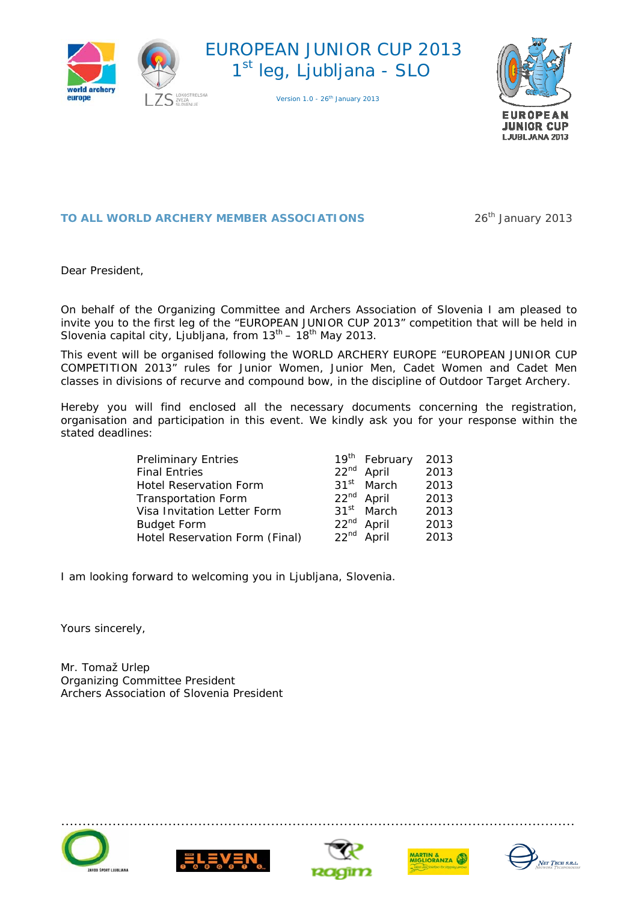





#### **TO ALL WORLD ARCHERY MEMBER ASSOCIATIONS** 26<sup>th</sup> January 2013

Dear President,

On behalf of the Organizing Committee and Archers Association of Slovenia I am pleased to invite you to the first leg of the "EUROPEAN JUNIOR CUP 2013" competition that will be held in Slovenia capital city, Ljubljana, from  $13^{th}$  –  $18^{th}$  May 2013.

This event will be organised following the WORLD ARCHERY EUROPE "EUROPEAN JUNIOR CUP COMPETITION 2013" rules for Junior Women, Junior Men, Cadet Women and Cadet Men classes in divisions of recurve and compound bow, in the discipline of Outdoor Target Archery.

Hereby you will find enclosed all the necessary documents concerning the registration, organisation and participation in this event. We kindly ask you for your response within the stated deadlines:

| <b>Preliminary Entries</b>     |                  | 19 <sup>th</sup> February | 2013 |
|--------------------------------|------------------|---------------------------|------|
| <b>Final Entries</b>           |                  | 22 <sup>nd</sup> April    | 2013 |
| Hotel Reservation Form         | 31 <sup>st</sup> | March                     | 2013 |
| <b>Transportation Form</b>     |                  | 22 <sup>nd</sup> April    | 2013 |
| Visa Invitation Letter Form    | 31 <sup>st</sup> | March                     | 2013 |
| <b>Budget Form</b>             |                  | 22 <sup>nd</sup> April    | 2013 |
| Hotel Reservation Form (Final) | 22 <sup>nd</sup> | April                     | 2013 |

I am looking forward to welcoming you in Ljubljana, Slovenia.

Yours sincerely,

Mr. Tomaž Urlep Organizing Committee President Archers Association of Slovenia President









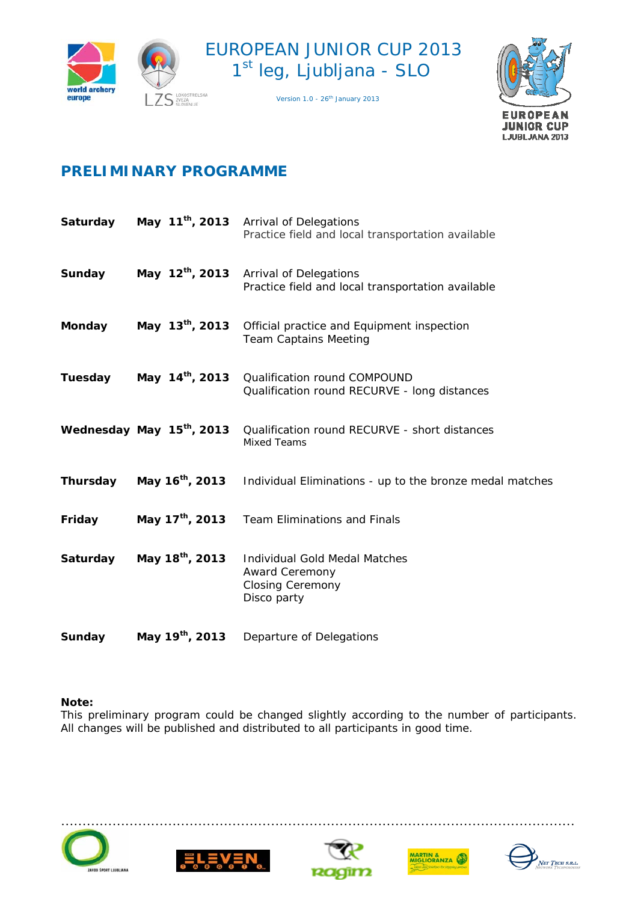





# **PRELIMINARY PROGRAMME**

| Saturday      |                                       | May 11 <sup>th</sup> , 2013 Arrival of Delegations<br>Practice field and local transportation available |
|---------------|---------------------------------------|---------------------------------------------------------------------------------------------------------|
| Sunday        | May 12 <sup>th</sup> , 2013           | <b>Arrival of Delegations</b><br>Practice field and local transportation available                      |
| <b>Monday</b> | May 13 <sup>th</sup> , 2013           | Official practice and Equipment inspection<br><b>Team Captains Meeting</b>                              |
| Tuesday       | May 14 <sup>th</sup> , 2013           | <b>Qualification round COMPOUND</b><br>Qualification round RECURVE - long distances                     |
|               | Wednesday May 15 <sup>th</sup> , 2013 | Qualification round RECURVE - short distances<br><b>Mixed Teams</b>                                     |
| Thursday      | May 16 <sup>th</sup> , 2013           | Individual Eliminations - up to the bronze medal matches                                                |
| Friday        | May 17 <sup>th</sup> , 2013           | <b>Team Eliminations and Finals</b>                                                                     |
| Saturday      | May 18 <sup>th</sup> , 2013           | Individual Gold Medal Matches<br><b>Award Ceremony</b><br><b>Closing Ceremony</b><br>Disco party        |
| Sunday        | May 19 <sup>th</sup> , 2013           | Departure of Delegations                                                                                |

#### **Note:**

This preliminary program could be changed slightly according to the number of participants. All changes will be published and distributed to all participants in good time.









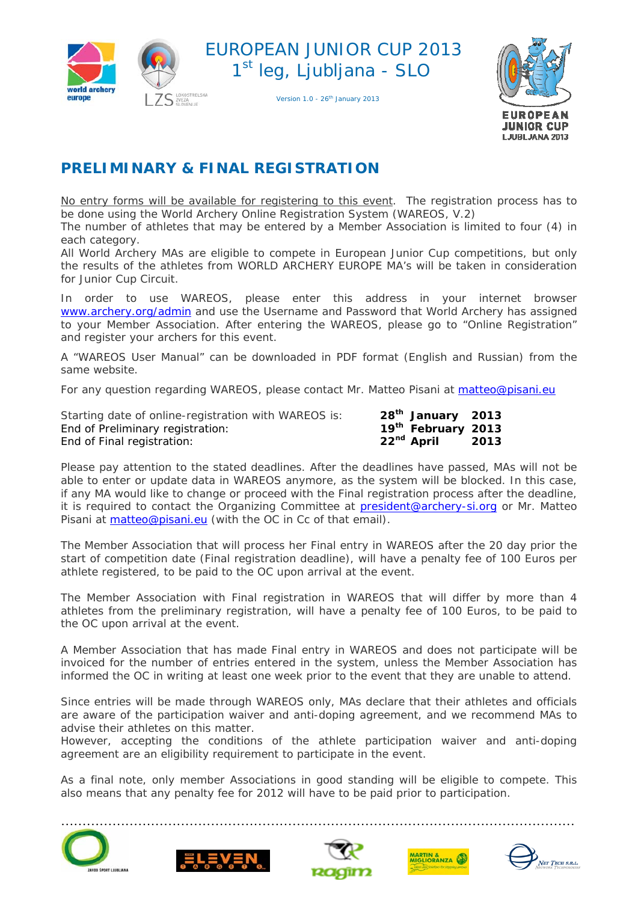

Version 1.0 - 26<sup>th</sup> January 2013



# **PRELIMINARY & FINAL REGISTRATION**

No entry forms will be available for registering to this event. The registration process has to be done using the World Archery Online Registration System (WAREOS, V.2)

The number of athletes that may be entered by a Member Association is limited to four (4) in each category.

All World Archery MAs are eligible to compete in European Junior Cup competitions, but only the results of the athletes from WORLD ARCHERY EUROPE MA's will be taken in consideration for Junior Cup Circuit.

In order to use WAREOS, please enter this address in your internet browser [www.archery.org/admin](http://www.archery.org/admin) and use the Username and Password that World Archery has assigned to your Member Association. After entering the WAREOS, please go to "Online Registration" and register your archers for this event.

A "WAREOS User Manual" can be downloaded in PDF format (English and Russian) from the same website.

For any question regarding WAREOS, please contact Mr. Matteo Pisani at matteo@pisani.eu

| Starting date of online-registration with WAREOS is: | 28 <sup>th</sup> January 2013  |      |
|------------------------------------------------------|--------------------------------|------|
| End of Preliminary registration:                     | 19 <sup>th</sup> February 2013 |      |
| End of Final registration:                           | 22 <sup>nd</sup> April         | 2013 |

Please pay attention to the stated deadlines. After the deadlines have passed, MAs will not be able to enter or update data in WAREOS anymore, as the system will be blocked. In this case, if any MA would like to change or proceed with the Final registration process after the deadline, it is required to contact the Organizing Committee at **president@archery-si.org** or Mr. Matteo Pisani at **matteo@pisani.eu** (with the OC in Cc of that email).

The Member Association that will process her Final entry in WAREOS after the 20 day prior the start of competition date (Final registration deadline), will have a penalty fee of 100 Euros per athlete registered, to be paid to the OC upon arrival at the event.

The Member Association with Final registration in WAREOS that will differ by more than 4 athletes from the preliminary registration, will have a penalty fee of 100 Euros, to be paid to the OC upon arrival at the event.

A Member Association that has made Final entry in WAREOS and does not participate will be invoiced for the number of entries entered in the system, unless the Member Association has informed the OC in writing at least one week prior to the event that they are unable to attend.

Since entries will be made through WAREOS only, MAs declare that their athletes and officials are aware of the participation waiver and anti-doping agreement, and we recommend MAs to advise their athletes on this matter.

However, accepting the conditions of the athlete participation waiver and anti-doping agreement are an eligibility requirement to participate in the event.

As a final note, only member Associations in good standing will be eligible to compete. This also means that any penalty fee for 2012 will have to be paid prior to participation.









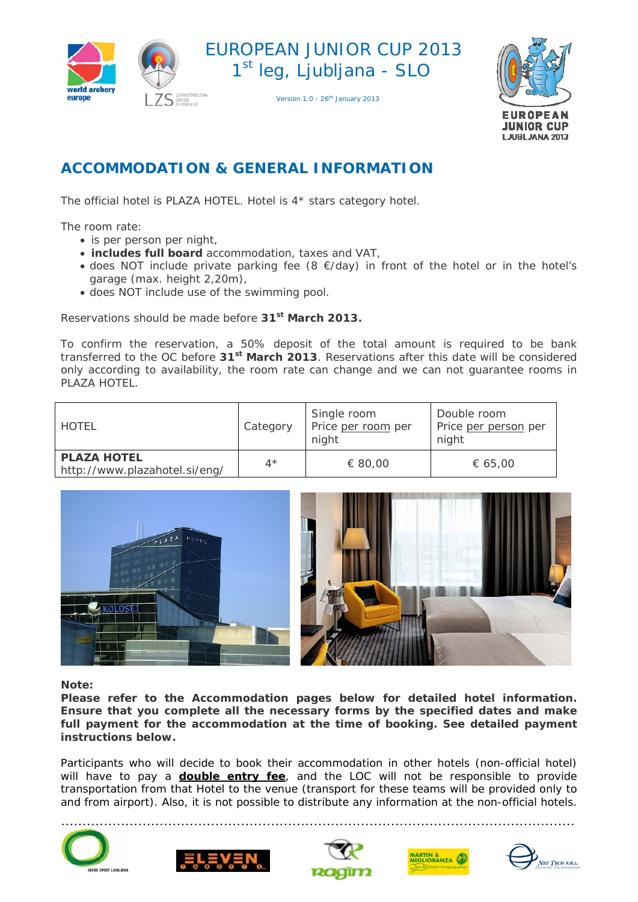

Version 1.0 - 26<sup>th</sup> January 2013



## **ACCOMMODATION & GENERAL INFORMATION**

The official hotel is PLAZA HOTEL. Hotel is 4\* stars category hotel.

The room rate:

- is per person per night,
- **includes full board** accommodation, taxes and VAT,
- does NOT include private parking fee (8 €/day) in front of the hotel or in the hotel's garage (max. height 2,20m),
- does NOT include use of the swimming pool.

Reservations should be made before **31st March 2013.**

To confirm the reservation, a 50% deposit of the total amount is required to be bank transferred to the OC before **31st March 2013**. Reservations after this date will be considered only according to availability, the room rate can change and we can not guarantee rooms in PLAZA HOTEL

| HOTEL                                               | Category    | Single room<br>Price per room per<br>night | Double room<br>Price per person per<br>night |
|-----------------------------------------------------|-------------|--------------------------------------------|----------------------------------------------|
| <b>PLAZA HOTEL</b><br>http://www.plazahotel.si/eng/ | $4^{\star}$ | € 80,00                                    | € 65,00                                      |



**Note:** 

**Please refer to the Accommodation pages below for detailed hotel information. Ensure that you complete all the necessary forms by the specified dates and make full payment for the accommodation at the time of booking. See detailed payment instructions below.** 

Participants who will decide to book their accommodation in other hotels (non-official hotel) will have to pay a **double entry fee**, and the LOC will not be responsible to provide transportation from that Hotel to the venue (transport for these teams will be provided only to and from airport). Also, it is not possible to distribute any information at the non-official hotels.









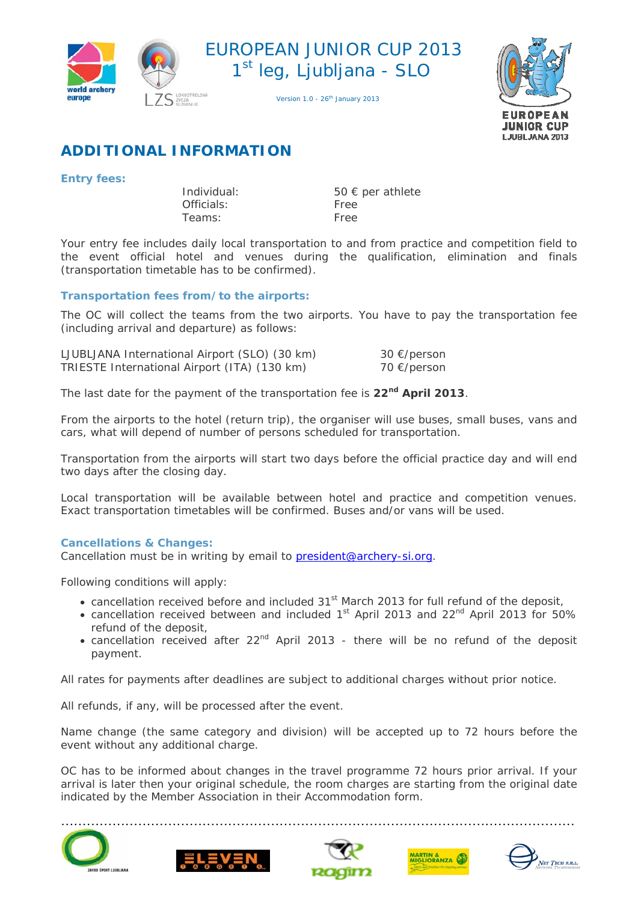

Version 1.0 - 26<sup>th</sup> January 2013



# **ADDITIONAL INFORMATION**

#### **Entry fees:**

 Officials: Free Teams: Free

Individual: 50 € per athlete

Your entry fee includes daily local transportation to and from practice and competition field to the event official hotel and venues during the qualification, elimination and finals (transportation timetable has to be confirmed).

#### **Transportation fees from/to the airports:**

The OC will collect the teams from the two airports. You have to pay the transportation fee (including arrival and departure) as follows:

| LJUBLJANA International Airport (SLO) (30 km) | 30 €/person |
|-----------------------------------------------|-------------|
| TRIESTE International Airport (ITA) (130 km)  | 70 €/person |

The last date for the payment of the transportation fee is **22nd April 2013**.

From the airports to the hotel (return trip), the organiser will use buses, small buses, vans and cars, what will depend of number of persons scheduled for transportation.

Transportation from the airports will start two days before the official practice day and will end two days after the closing day.

Local transportation will be available between hotel and practice and competition venues. Exact transportation timetables will be confirmed. Buses and/or vans will be used.

#### **Cancellations & Changes:**

Cancellation must be in writing by email to [president@archery-si.org.](mailto:archery@archery.hr)

Following conditions will apply:

- cancellation received before and included 31<sup>st</sup> March 2013 for full refund of the deposit,
- cancellation received between and included  $1<sup>st</sup>$  April 2013 and 22<sup>nd</sup> April 2013 for 50% refund of the deposit,
- cancellation received after  $22^{nd}$  April 2013 there will be no refund of the deposit payment.

All rates for payments after deadlines are subject to additional charges without prior notice.

All refunds, if any, will be processed after the event.

Name change (the same category and division) will be accepted up to 72 hours before the event without any additional charge.

OC has to be informed about changes in the travel programme 72 hours prior arrival. If your arrival is later then your original schedule, the room charges are starting from the original date indicated by the Member Association in their Accommodation form.









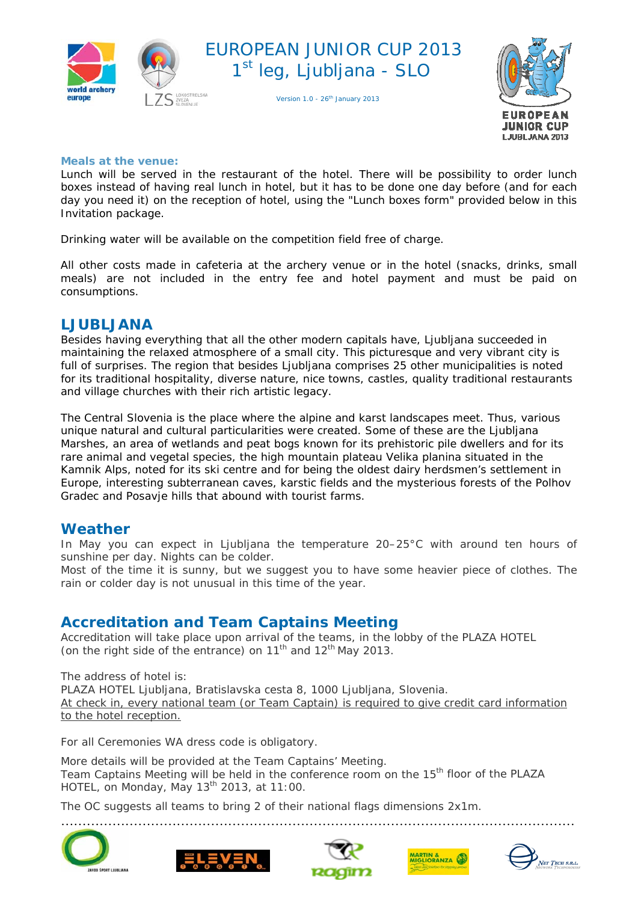

Version 1.0 - 26<sup>th</sup> January 2013



#### **Meals at the venue:**

Lunch will be served in the restaurant of the hotel. There will be possibility to order lunch boxes instead of having real lunch in hotel, but it has to be done one day before (and for each day you need it) on the reception of hotel, using the "Lunch boxes form" provided below in this Invitation package.

Drinking water will be available on the competition field free of charge.

All other costs made in cafeteria at the archery venue or in the hotel (snacks, drinks, small meals) are not included in the entry fee and hotel payment and must be paid on consumptions.

### **LJUBLJANA**

Besides having everything that all the other modern capitals have, Ljubljana succeeded in maintaining the relaxed atmosphere of a small city. This picturesque and very vibrant city is full of surprises. The region that besides Ljubljana comprises 25 other municipalities is noted for its traditional hospitality, diverse nature, nice towns, castles, quality traditional restaurants and village churches with their rich artistic legacy.

The Central Slovenia is the place where the alpine and karst landscapes meet. Thus, various unique natural and cultural particularities were created. Some of these are the Ljubljana Marshes, an area of wetlands and peat bogs known for its prehistoric pile dwellers and for its rare animal and vegetal species, the high mountain plateau Velika planina situated in the Kamnik Alps, noted for its ski centre and for being the oldest dairy herdsmen's settlement in Europe, interesting subterranean caves, karstic fields and the mysterious forests of the Polhov Gradec and Posavje hills that abound with tourist farms.

#### **Weather**

In May you can expect in Ljubljana the temperature 20–25°C with around ten hours of sunshine per day. Nights can be colder.

Most of the time it is sunny, but we suggest you to have some heavier piece of clothes. The rain or colder day is not unusual in this time of the year.

### **Accreditation and Team Captains Meeting**

Accreditation will take place upon arrival of the teams, in the lobby of the PLAZA HOTEL (on the right side of the entrance) on  $11<sup>th</sup>$  and  $12<sup>th</sup>$  May 2013.

The address of hotel is: PLAZA HOTEL Ljubljana, Bratislavska cesta 8, 1000 Ljubljana, Slovenia. *At check in, every national team (or Team Captain) is required to give credit card information to the hotel reception.*

For all Ceremonies WA dress code is obligatory.

More details will be provided at the Team Captains' Meeting. Team Captains Meeting will be held in the conference room on the 15<sup>th</sup> floor of the PLAZA HOTEL, on Monday, May 13th 2013, at 11:00.

The OC suggests all teams to bring 2 of their national flags dimensions 2x1m.

…………………………………………………………………………………………………………









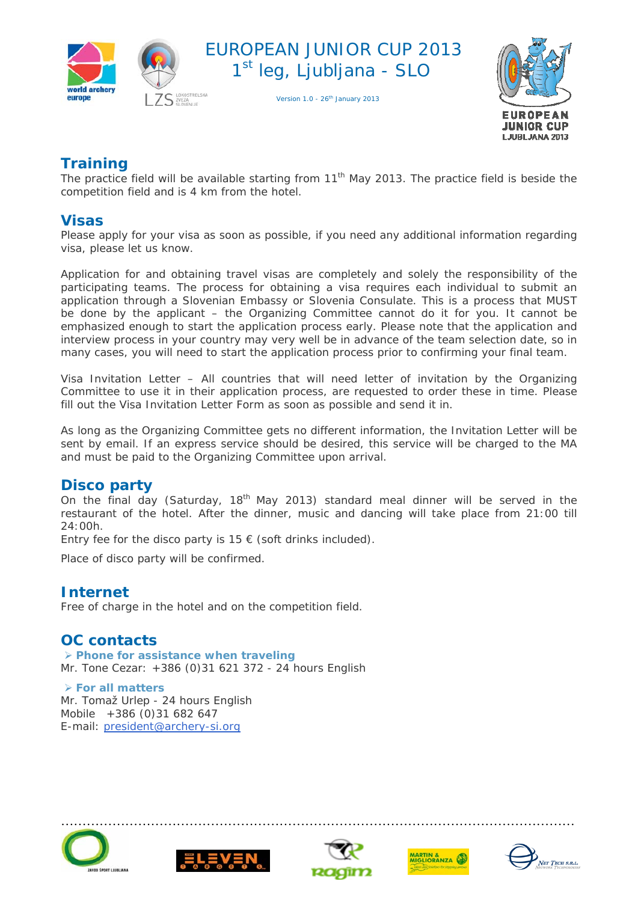





## **Training**

The practice field will be available starting from 11<sup>th</sup> May 2013. The practice field is beside the competition field and is 4 km from the hotel.

### **Visas**

Please apply for your visa as soon as possible, if you need any additional information regarding visa, please let us know.

Application for and obtaining travel visas are completely and solely the responsibility of the participating teams. The process for obtaining a visa requires each individual to submit an application through a Slovenian Embassy or Slovenia Consulate. This is a process that MUST be done by the applicant – the Organizing Committee cannot do it for you. It cannot be emphasized enough to start the application process early. Please note that the application and interview process in your country may very well be in advance of the team selection date, so in many cases, you will need to start the application process prior to confirming your final team.

Visa Invitation Letter – All countries that will need letter of invitation by the Organizing Committee to use it in their application process, are requested to order these in time. Please fill out the Visa Invitation Letter Form as soon as possible and send it in.

As long as the Organizing Committee gets no different information, the Invitation Letter will be sent by email. If an express service should be desired, this service will be charged to the MA and must be paid to the Organizing Committee upon arrival.

### **Disco party**

On the final day (Saturday, 18<sup>th</sup> May 2013) standard meal dinner will be served in the restaurant of the hotel. After the dinner, music and dancing will take place from 21:00 till 24:00h.

Entry fee for the disco party is  $15 \in$  (soft drinks included).

Place of disco party will be confirmed.

### **Internet**

Free of charge in the hotel and on the competition field.

### **OC contacts**

 **Phone for assistance when traveling**  Mr. Tone Cezar: +386 (0)31 621 372 - 24 hours English

 **For all matters**  Mr. Tomaž Urlep - 24 hours English Mobile +386 (0)31 682 647 E-mail: [president@archery-si.org](mailto:archery@archery.hr)









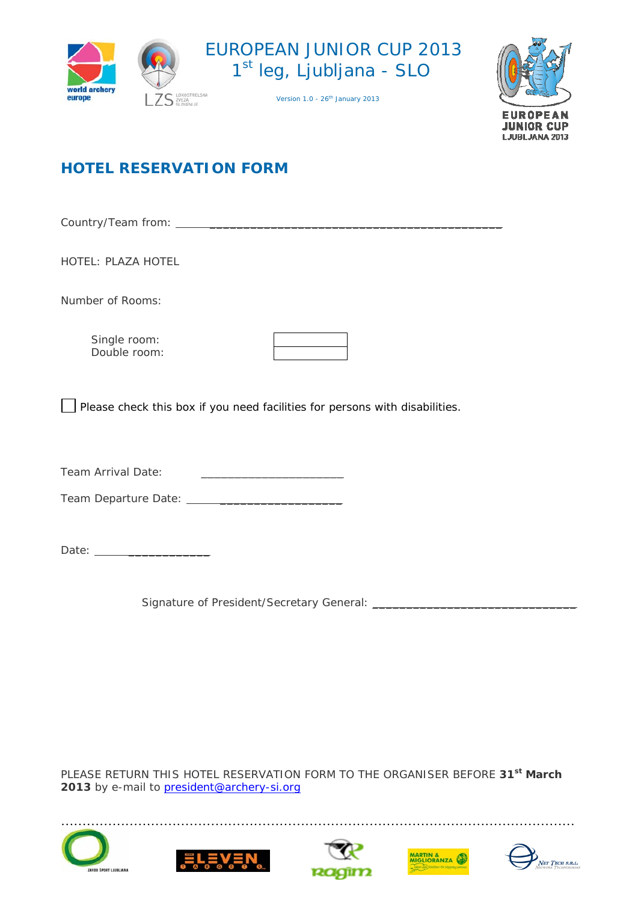





# **HOTEL RESERVATION FORM**

Country/Team from: \_\_\_\_\_\_\_\_\_\_\_\_\_\_\_\_\_\_\_\_\_\_\_\_\_\_\_\_\_\_\_\_\_\_\_\_\_\_\_\_\_\_\_

HOTEL: PLAZA HOTEL

Number of Rooms:

Single room: Double room:

Please check this box if you need facilities for persons with disabilities.

Team Arrival Date: \_\_\_\_\_\_\_\_\_\_\_\_\_\_\_\_\_\_\_\_\_

Team Departure Date: \_\_\_\_\_\_\_\_\_\_\_\_\_\_\_\_\_\_

Date: \_\_\_\_\_\_\_\_\_\_\_\_

Signature of President/Secretary General: \_\_\_\_\_\_\_\_\_\_\_\_\_\_\_\_\_\_\_\_\_\_\_\_\_\_\_\_\_\_

PLEASE RETURN THIS HOTEL RESERVATION FORM TO THE ORGANISER BEFORE **31st March**  2013 by e-mail to **president@archery-si.org** 









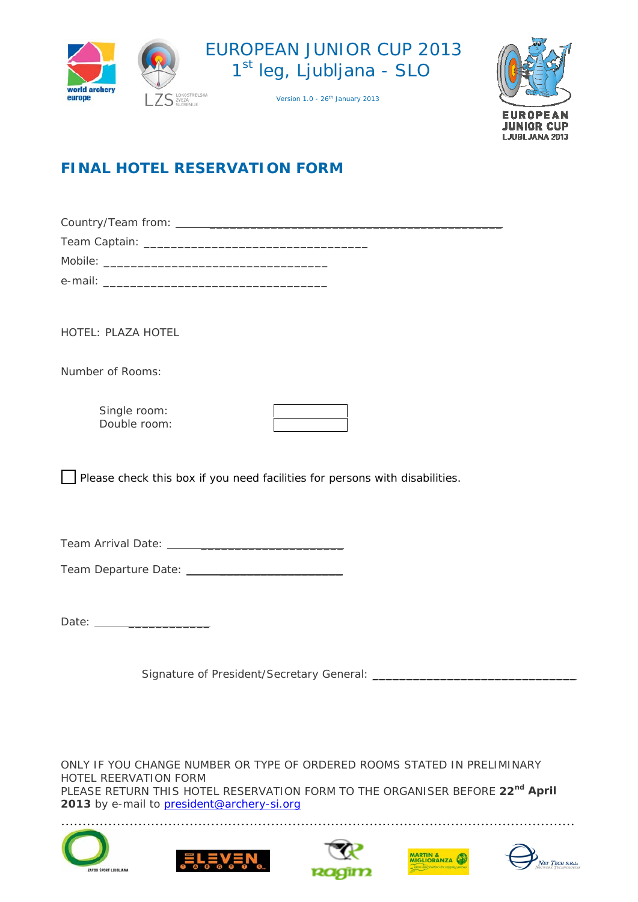





# **FINAL HOTEL RESERVATION FORM**

Country/Team from: \_\_\_\_\_\_\_\_\_\_\_\_\_\_\_\_\_\_\_\_\_\_\_\_\_\_\_\_\_\_\_\_\_\_\_\_\_\_\_\_\_\_\_ Team Captain: \_\_\_\_\_\_\_\_\_\_\_\_\_\_\_\_\_\_\_\_\_\_\_\_\_\_\_\_\_\_\_\_\_

| Mobile <sup>.</sup> |  |
|---------------------|--|
| e-mail:             |  |

HOTEL: PLAZA HOTEL

Number of Rooms:

Single room: Double room:

Please check this box if you need facilities for persons with disabilities.

Team Arrival Date: \_\_\_\_\_\_\_\_\_\_\_\_\_\_\_\_\_\_\_\_\_

Team Departure Date: \_\_\_\_\_\_\_\_\_\_\_\_\_\_\_\_\_\_

Date: \_\_\_\_\_\_\_\_\_\_\_\_

Signature of President/Secretary General: \_\_\_\_\_\_\_\_\_\_\_\_\_\_\_\_\_\_\_\_\_\_\_\_\_\_\_\_\_\_

ONLY IF YOU CHANGE NUMBER OR TYPE OF ORDERED ROOMS STATED IN PRELIMINARY HOTEL REERVATION FORM PLEASE RETURN THIS HOTEL RESERVATION FORM TO THE ORGANISER BEFORE **22nd April**  2013 by e-mail to **president@archery-si.org** 









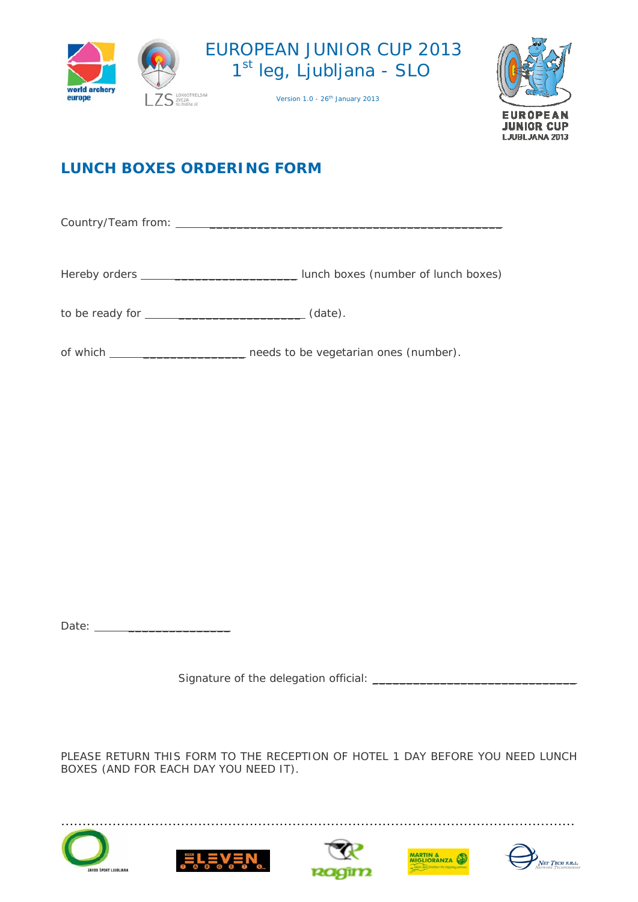





# **LUNCH BOXES ORDERING FORM**

Country/Team from: \_\_\_\_\_\_\_\_\_\_\_\_\_\_\_\_\_\_\_\_\_\_\_\_\_\_\_\_\_\_\_\_\_\_\_\_\_\_\_\_\_\_\_

Hereby orders \_\_\_\_\_\_\_\_\_\_\_\_\_\_\_\_\_\_\_\_\_\_\_\_\_\_\_\_\_\_\_\_ lunch boxes (number of lunch boxes)

to be ready for  $\qquad \qquad \qquad$  (date).

of which \_\_\_\_\_\_\_\_\_\_\_\_\_\_\_\_\_\_\_\_\_\_\_ needs to be vegetarian ones (number).

Date: \_\_\_\_\_\_\_\_\_\_\_\_\_\_\_

Signature of the delegation official: \_\_\_\_\_\_\_\_\_\_\_\_\_\_\_\_\_\_\_\_\_\_\_\_\_\_\_\_\_\_

PLEASE RETURN THIS FORM TO THE RECEPTION OF HOTEL 1 DAY BEFORE YOU NEED LUNCH BOXES (AND FOR EACH DAY YOU NEED IT).









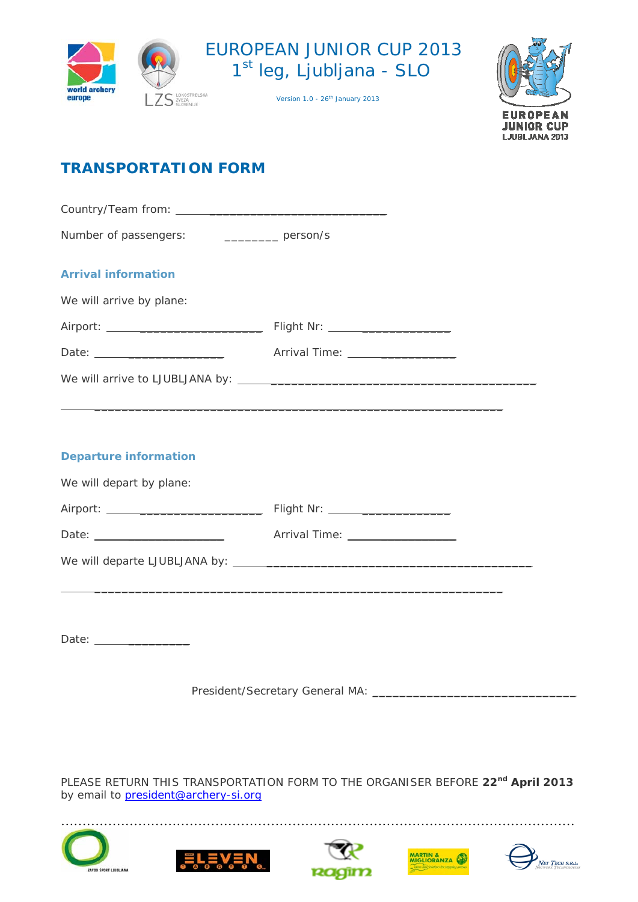





# **TRANSPORTATION FORM**

Country/Team from: \_\_\_\_\_\_\_\_\_\_\_\_\_\_\_\_\_\_\_\_\_\_\_\_\_\_ Number of passengers: \_\_\_\_\_\_\_\_\_\_\_\_ person/s **Arrival information**  We will arrive by plane: Airport: \_\_\_\_\_\_\_\_\_\_\_\_\_\_\_\_\_\_ Flight Nr: \_\_\_\_\_\_\_\_\_\_\_\_\_ Date: \_\_\_\_\_\_\_\_\_\_\_\_\_\_ Arrival Time: \_\_\_\_\_\_\_\_\_\_\_ We will arrive to LJUBLJANA by: \_\_\_\_\_\_\_\_\_\_\_\_\_\_\_\_\_\_\_\_\_\_\_\_\_\_\_\_\_\_\_\_\_\_\_\_\_\_\_  $\mathcal{L}_\text{max} = \mathcal{L}_\text{max}$  , where  $\mathcal{L}_\text{max}$  and  $\mathcal{L}_\text{max}$  and  $\mathcal{L}_\text{max}$  and  $\mathcal{L}_\text{max}$  and  $\mathcal{L}_\text{max}$ **Departure information**  We will depart by plane: Airport: \_\_\_\_\_\_\_\_\_\_\_\_\_\_\_\_\_\_ Flight Nr: \_\_\_\_\_\_\_\_\_\_\_\_\_ Date: \_\_\_\_\_\_\_\_\_\_\_\_\_\_ Arrival Time: \_\_\_\_\_\_\_\_\_\_\_ We will departe LJUBLJANA by: \_\_\_\_\_\_\_\_\_\_\_\_\_\_\_\_\_\_\_\_\_\_\_\_\_\_\_\_\_\_\_\_\_\_\_\_\_\_\_

Date: \_\_\_\_\_\_\_\_\_

President/Secretary General MA: \_\_\_\_\_\_\_\_\_\_\_\_\_\_\_\_\_\_\_\_\_\_\_\_\_\_\_\_\_\_

 $\mathcal{L}_\text{max} = \mathcal{L}_\text{max}$  , where  $\mathcal{L}_\text{max}$  and  $\mathcal{L}_\text{max}$  and  $\mathcal{L}_\text{max}$  and  $\mathcal{L}_\text{max}$ 

PLEASE RETURN THIS TRANSPORTATION FORM TO THE ORGANISER BEFORE 22<sup>nd</sup> April 2013 by email to **[president@archery-si.org](mailto:archery@archery.hr)** 









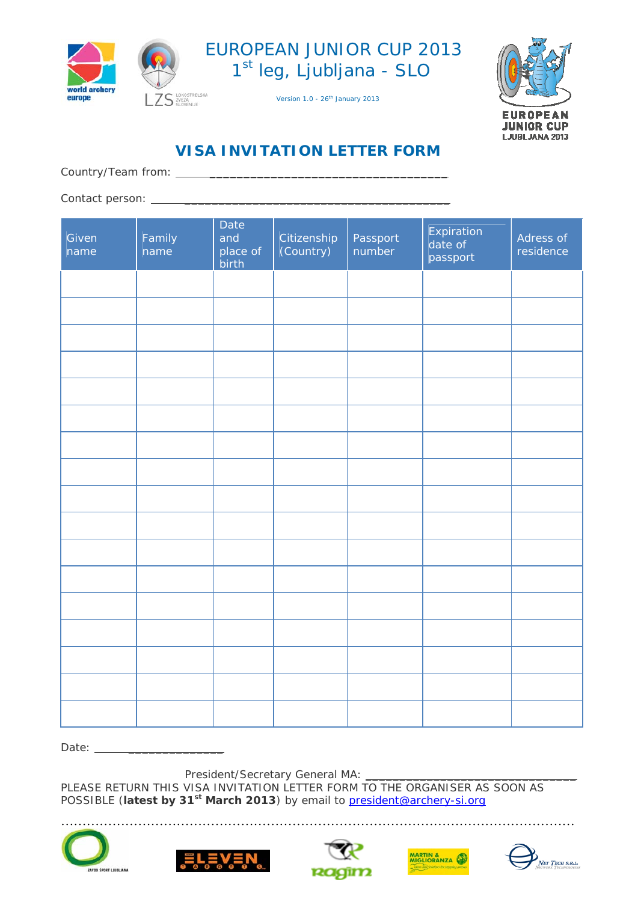

ZS<sup>LOKOSTRELSKA</sup>



**EUROPEAN JUNIOR CUP** LJUBLJANA 2013

Version 1.0 - 26<sup>th</sup> January 2013

# **VISA INVITATION LETTER FORM**

Country/Team from: \_\_\_\_\_\_\_\_\_\_\_\_\_\_\_\_\_\_\_\_\_\_\_\_\_\_\_\_\_\_\_\_\_\_\_

Contact person: \_\_\_\_\_\_\_\_\_\_\_\_\_\_\_\_\_\_\_\_\_\_\_\_\_\_\_\_\_\_\_\_\_\_\_\_\_\_\_

| Given<br>name | Family<br>name | Date<br>and<br>place of<br>.<br>birth | Citizenship<br>(Country) | Passport<br>number | Expiration<br>$\overline{a}$ date of<br>passport | Adress of<br>residence |
|---------------|----------------|---------------------------------------|--------------------------|--------------------|--------------------------------------------------|------------------------|
|               |                |                                       |                          |                    |                                                  |                        |
|               |                |                                       |                          |                    |                                                  |                        |
|               |                |                                       |                          |                    |                                                  |                        |
|               |                |                                       |                          |                    |                                                  |                        |
|               |                |                                       |                          |                    |                                                  |                        |
|               |                |                                       |                          |                    |                                                  |                        |
|               |                |                                       |                          |                    |                                                  |                        |
|               |                |                                       |                          |                    |                                                  |                        |
|               |                |                                       |                          |                    |                                                  |                        |
|               |                |                                       |                          |                    |                                                  |                        |
|               |                |                                       |                          |                    |                                                  |                        |
|               |                |                                       |                          |                    |                                                  |                        |
|               |                |                                       |                          |                    |                                                  |                        |
|               |                |                                       |                          |                    |                                                  |                        |
|               |                |                                       |                          |                    |                                                  |                        |
|               |                |                                       |                          |                    |                                                  |                        |
|               |                |                                       |                          |                    |                                                  |                        |

Date: \_\_\_\_\_\_\_\_\_\_\_\_\_\_

President/Secretary General MA: \_

PLEASE RETURN THIS VISA INVITATION LETTER FORM TO THE ORGANISER AS SOON AS POSSIBLE (**latest by 31st March 2013**) by email to [president@archery-si.org](mailto:archery@archery.hr)









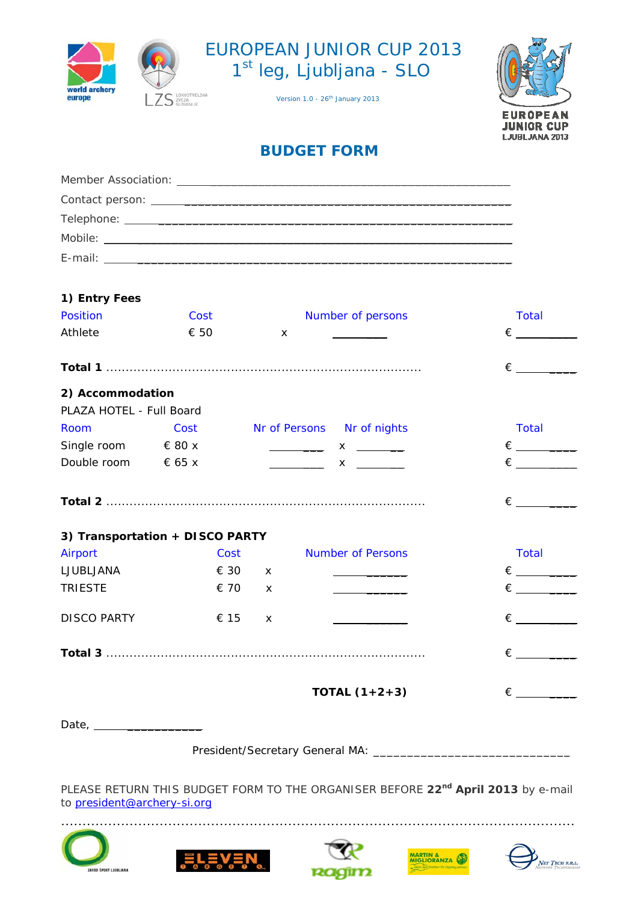





# **BUDGET FORM**

| 1) Entry Fees            |                                 |                           |                                                                                                                                                                                                                                                                                                                                                                                                                                                           |                           |
|--------------------------|---------------------------------|---------------------------|-----------------------------------------------------------------------------------------------------------------------------------------------------------------------------------------------------------------------------------------------------------------------------------------------------------------------------------------------------------------------------------------------------------------------------------------------------------|---------------------------|
| Position                 | Cost                            |                           | Number of persons                                                                                                                                                                                                                                                                                                                                                                                                                                         | <b>Total</b>              |
| Athlete                  | € 50                            | $\boldsymbol{\mathsf{x}}$ | $\overline{\phantom{a}}$                                                                                                                                                                                                                                                                                                                                                                                                                                  | $\epsilon$ and $\epsilon$ |
|                          |                                 |                           |                                                                                                                                                                                                                                                                                                                                                                                                                                                           |                           |
|                          |                                 |                           |                                                                                                                                                                                                                                                                                                                                                                                                                                                           |                           |
| 2) Accommodation         |                                 |                           |                                                                                                                                                                                                                                                                                                                                                                                                                                                           |                           |
| PLAZA HOTEL - Full Board |                                 |                           |                                                                                                                                                                                                                                                                                                                                                                                                                                                           |                           |
| Room                     | Cost                            |                           | Nr of Persons Nr of nights                                                                                                                                                                                                                                                                                                                                                                                                                                | <b>Total</b>              |
| Single room $680x$       |                                 |                           | $\frac{1}{\sqrt{1-\frac{1}{2}}}\times\frac{1}{\sqrt{1-\frac{1}{2}}}\times\frac{1}{\sqrt{1-\frac{1}{2}}}\times\frac{1}{\sqrt{1-\frac{1}{2}}}\times\frac{1}{\sqrt{1-\frac{1}{2}}}\times\frac{1}{\sqrt{1-\frac{1}{2}}}\times\frac{1}{\sqrt{1-\frac{1}{2}}}\times\frac{1}{\sqrt{1-\frac{1}{2}}}\times\frac{1}{\sqrt{1-\frac{1}{2}}}\times\frac{1}{\sqrt{1-\frac{1}{2}}}\times\frac{1}{\sqrt{1-\frac{1}{2}}}\times\frac{1}{\sqrt{1-\frac{1}{2}}}\times\frac{1$ |                           |
| Double room $65x$        |                                 |                           | $\overline{\phantom{a}}$ and $\overline{\phantom{a}}$ and $\overline{\phantom{a}}$<br>$x \sim$                                                                                                                                                                                                                                                                                                                                                            |                           |
|                          |                                 |                           |                                                                                                                                                                                                                                                                                                                                                                                                                                                           |                           |
|                          |                                 |                           |                                                                                                                                                                                                                                                                                                                                                                                                                                                           |                           |
|                          |                                 |                           |                                                                                                                                                                                                                                                                                                                                                                                                                                                           |                           |
|                          | 3) Transportation + DISCO PARTY |                           |                                                                                                                                                                                                                                                                                                                                                                                                                                                           |                           |
| Airport                  |                                 | <b>Cost</b>               | <b>Number of Persons</b>                                                                                                                                                                                                                                                                                                                                                                                                                                  | <b>Total</b>              |
| LJUBLJANA                | € 30                            | $\mathsf{x}$              | <u> 1989 - John Harry Harry Harry Harry Harry Harry Harry Harry Harry Harry Harry Harry Harry Harry Harry Harry H</u>                                                                                                                                                                                                                                                                                                                                     |                           |
| <b>TRIESTE</b>           | € 70                            | $\mathsf{x}$              | <u> 1980 - Johann Barnett, fransk konge</u>                                                                                                                                                                                                                                                                                                                                                                                                               |                           |
|                          |                                 |                           |                                                                                                                                                                                                                                                                                                                                                                                                                                                           |                           |
| <b>DISCO PARTY</b>       | € 15                            | $\mathsf{x}$              | <u> 1990 - Jan Barnett, francuski politik</u>                                                                                                                                                                                                                                                                                                                                                                                                             |                           |
|                          |                                 |                           |                                                                                                                                                                                                                                                                                                                                                                                                                                                           | $\epsilon$                |
|                          |                                 |                           |                                                                                                                                                                                                                                                                                                                                                                                                                                                           |                           |
|                          |                                 |                           | <b>TOTAL</b> $(1+2+3)$                                                                                                                                                                                                                                                                                                                                                                                                                                    |                           |
|                          |                                 |                           |                                                                                                                                                                                                                                                                                                                                                                                                                                                           |                           |
|                          |                                 |                           |                                                                                                                                                                                                                                                                                                                                                                                                                                                           |                           |
|                          |                                 |                           |                                                                                                                                                                                                                                                                                                                                                                                                                                                           |                           |
|                          |                                 |                           | President/Secretary General MA: _________                                                                                                                                                                                                                                                                                                                                                                                                                 |                           |

PLEASE RETURN THIS BUDGET FORM TO THE ORGANISER BEFORE 22<sup>nd</sup> April 2013 by e-mail to [president@archery-si.org](mailto:archery@archery.hr)